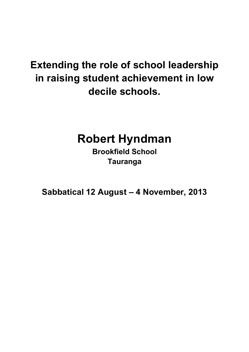# **Extending the role of school leadership in raising student achievement in low decile schools.**

# **Robert Hyndman**

**Brookfield School Tauranga**

**Sabbatical 12 August – 4 November, 2013**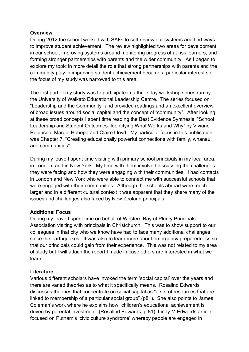## **Overview**

During 2012 the school worked with SAFs to self-review our systems and find ways to improve student achievement. The review highlighted two areas for development in our school; improving systems around monitoring progress of at risk learners, and forming stronger partnerships with parents and the wider community. As I began to explore my topic in more detail the role that strong partnerships with parents and the community play in improving student achievement became a particular interest so the focus of my study was narrowed to this area.

The first part of my study was to participate in a three day workshop series run by the University of Waikato Educational Leadership Centre. The series focused on "Leadership and the Community" and provided readings and an excellent overview of broad issues around social capital and the concept of "community". After looking at these broad concepts I spent time reading the Best Evidence Synthesis, "School Leadership and Student Outcomes: Identifying What Works and Why" by Viviane Robinson, Margie Hohepa and Claire Lloyd. My particular focus in this publication was Chapter 7, "Creating educationally powerful connections with family, whanau, and communities".

During my leave I spent time visiting with primary school principals in my local area, in London, and in New York. My time with them involved discussing the challenges they were facing and how they were engaging with their communities. I had contacts in London and New York who were able to connect me with successful schools that were engaged with their communities. Although the schools abroad were much larger and in a different cultural context it was apparent that they share many of the issues and challenges also faced by New Zealand principals.

## **Additional Focus**

During my leave I spent time on behalf of Western Bay of Plenty Principals Association visiting with principals in Christchurch. This was to show support to our colleagues in that city who we know have had to face many additional challenges since the earthquakes. It was also to learn more about emergency preparedness so that our principals could gain from their experience. This was not related to my area of study but I will attach the report I made in case others are interested in what we learnt.

#### **Literature**

Various different scholars have invoked the term 'social capital' over the years and there are varied theories as to what it specifically means. Rosalind Edwards discusses theories that concentrate on social capital as "a set of resources that are linked to membership of a particular social group" (p81). She also points to James Coleman's work where he explains how "children's educational achievement is driven by parental investment" (Rosalind Edwards, p 81). Lindy M Edwards article focused on Putnam's 'civic culture syndrome' whereby people are engaged in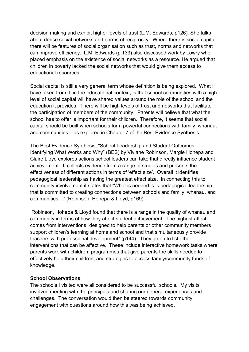decision making and exhibit higher levels of trust (L.M. Edwards, p126). She talks about dense social networks and norms of reciprocity. Where there is social capital there will be features of social organisation such as trust, norms and networks that can improve efficiency. L.M. Edwards (p.133) also discussed work by Lowry who placed emphasis on the existence of social networks as a resource. He argued that children in poverty lacked the social networks that would give them access to educational resources.

Social capital is still a very general term whose definition is being explored. What I have taken from it, in the educational context, is that school communities with a high level of social capital will have shared values around the role of the school and the education it provides. There will be high levels of trust and networks that facilitate the participation of members of the community. Parents will believe that what the school has to offer is important for their children. Therefore, it seems that social capital should be built when schools form powerful connections with family, whanau, and communities – as explored in Chapter 7 of the Best Evidence Synthesis.

The Best Evidence Synthesis, "School Leadership and Student Outcomes: Identifying What Works and Why" (BES) by Viviane Robinson, Margie Hohepa and Claire Lloyd explores actions school leaders can take that directly influence student achievement. It collects evidence from a range of studies and presents the effectiveness of different actions in terms of 'effect size'. Overall it identifies pedagogical leadership as having the greatest effect size. In connecting this to community involvement it states that "What is needed is is pedagogical leadership that is committed to creating connections between schools and family, whanau, and communities…" (Robinson, Hohepa & Lloyd, p169).

Robinson, Hohepa & Lloyd found that there is a range in the quality of whanau and community in terms of how they affect student achievement. The highest affect comes from interventions "designed to help parents or other community members support children's learning at home and school and that simultaneously provide teachers with professional development" (p144). They go on to list other interventions that can be affective. These include interactive homework tasks where parents work with children, programmes that give parents the skills needed to effectively help their children, and strategies to access family/community funds of knowledge.

## **School Observations**

The schools I visited were all considered to be successful schools. My visits involved meeting with the principals and sharing our general experiences and challenges. The conversation would then be steered towards community engagement with questions around how this was being achieved.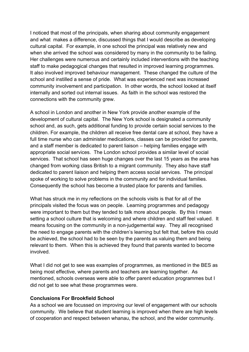I noticed that most of the principals, when sharing about community engagement and what makes a difference, discussed things that I would describe as developing cultural capital. For example, in one school the principal was relatively new and when she arrived the school was considered by many in the community to be failing. Her challenges were numerous and certainly included interventions with the teaching staff to make pedagogical changes that resulted in improved learning programmes. It also involved improved behaviour management. These changed the culture of the school and instilled a sense of pride. What was experienced next was increased community involvement and participation. In other words, the school looked at itself internally and sorted out internal issues. As faith in the school was restored the connections with the community grew.

A school in London and another in New York provide another example of the development of cultural capital. The New York school is designated a community school and, as such, gets additional funding to provide certain social services to the children. For example, the children all receive free dental care at school, they have a full time nurse who can administer medications, classes can be provided for parents, and a staff member is dedicated to parent liaison – helping families engage with appropriate social services. The London school provides a similar level of social services. That school has seen huge changes over the last 15 years as the area has changed from working class British to a migrant community. They also have staff dedicated to parent liaison and helping them access social services. The principal spoke of working to solve problems in the community and for individual families. Consequently the school has become a trusted place for parents and families.

What has struck me in my reflections on the schools visits is that for all of the principals visited the focus was on people. Learning programmes and pedagogy were important to them but they tended to talk more about people. By this I mean setting a school culture that is welcoming and where children and staff feel valued. It means focusing on the community in a non-judgemental way. They all recognised the need to engage parents with the children's learning but felt that, before this could be achieved, the school had to be seen by the parents as valuing them and being relevant to them. When this is achieved they found that parents wanted to become involved.

What I did not get to see was examples of programmes, as mentioned in the BES as being most effective, where parents and teachers are learning together. As mentioned, schools overseas were able to offer parent education programmes but I did not get to see what these programmes were.

#### **Conclusions For Brookfield School**

As a school we are focussed on improving our level of engagement with our schools community. We believe that student learning is improved when there are high levels of cooperation and respect between whanau, the school, and the wider community.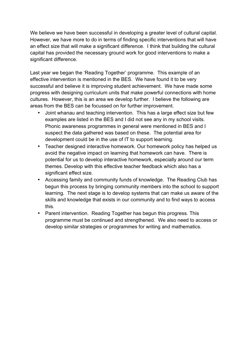We believe we have been successful in developing a greater level of cultural capital. However, we have more to do in terms of finding specific interventions that will have an effect size that will make a significant difference. I think that building the cultural capital has provided the necessary ground work for good interventions to make a significant difference.

Last year we began the 'Reading Together' programme. This example of an effective intervention is mentioned in the BES. We have found it to be very successful and believe it is improving student achievement. We have made some progress with designing curriculum units that make powerful connections with home cultures. However, this is an area we develop further. I believe the following are areas from the BES can be focussed on for further improvement.

- Joint whanau and teaching intervention. This has a large effect size but few examples are listed in the BES and I did not see any in my school visits. Phonic awareness programmes in general were mentioned in BES and I suspect the data gathered was based on these. The potential area for development could be in the use of IT to support learning.
- Teacher designed interactive homework. Our homework policy has helped us avoid the negative impact on learning that homework can have. There is potential for us to develop interactive homework, especially around our term themes. Develop with this effective teacher feedback which also has a significant effect size.
- Accessing family and community funds of knowledge. The Reading Club has begun this process by bringing community members into the school to support learning. The next stage is to develop systems that can make us aware of the skills and knowledge that exists in our community and to find ways to access this.
- Parent intervention. Reading Together has begun this progress. This programme must be continued and strengthened. We also need to access or develop similar strategies or programmes for writing and mathematics.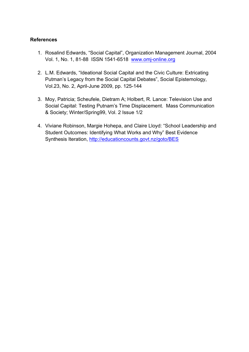#### **References**

- 1. Rosalind Edwards, "Social Capital", Organization Management Journal, 2004 Vol. 1, No. 1, 81-88 ISSN 1541-6518 www.omj-online.org
- 2. L.M. Edwards, "Ideational Social Capital and the Civic Culture: Extricating Putman's Legacy from the Social Capital Debates", Social Epistemology, Vol.23, No. 2, April-June 2009, pp. 125-144
- 3. Moy, Patricia; Scheufele, Dietram A; Holbert, R. Lance: Television Use and Social Capital: Testing Putnam's Time Displacement. Mass Communication & Society; Winter/Spring99, Vol. 2 Issue 1/2
- 4. Viviane Robinson, Margie Hohepa, and Claire Lloyd: "School Leadership and Student Outcomes: Identifying What Works and Why" Best Evidence Synthesis Iteration, http://educationcounts.govt.nz/goto/BES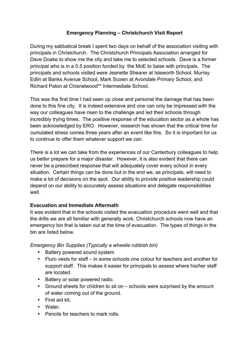## **Emergency Planning – Christchurch Visit Report**

During my sabbatical break I spent two days on behalf of the association visiting with principals in Christchurch. The Christchurch Principals Association arranged for Dave Doake to show me the city and take me to selected schools. Dave is a former principal who is in a 0.5 position funded by the MoE to liaise with principals. The principals and schools visited were Jeanette Shearer at Isleworth School, Murray Edlin at Banks Avenue School, Mark Scown at Avondale Primary School, and Richard Paton at Chisnelwood\*\* Intermediate School.

This was the first time I had seen up close and personal the damage that has been done to this fine city. It is indeed extensive and one can only be impressed with the way our colleagues have risen to the challenge and led their schools through incredibly trying times. The positive response of the education sector as a whole has been acknowledged by ERO. However, research has shown that the critical time for cumulated stress comes three years after an event like this. So it is important for us to continue to offer them whatever support we can.

There is a lot we can take from the experiences of our Canterbury colleagues to help us better prepare for a major disaster. However, it is also evident that there can never be a prescribed response that will adequately cover every school in every situation. Certain things can be done but in the end we, as principals, will need to make a lot of decisions on the spot. Our ability to provide positive leadership could depend on our ability to accurately assess situations and delegate responsibilities well.

## **Evacuation and Immediate Aftermath**

It was evident that in the schools visited the evacuation procedure went well and that the drills we are all familiar with generally work. Christchurch schools now have an emergency bin that is taken out at the time of evacuation. The types of things in the bin are listed below.

*Emergency Bin Supplies (Typically a wheelie rubbish bin)*

- Battery powered sound system
- Fluro vests for staff in some schools one colour for teachers and another for support staff. This makes it easier for principals to assess where his/her staff are located.
- Battery or solar powered radio.
- Ground sheets for children to sit on schools were surprised by the amount of water coming out of the ground.
- First aid kit.
- Water.
- Pencils for teachers to mark rolls.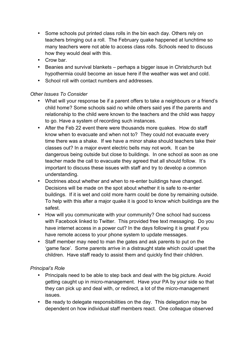- Some schools put printed class rolls in the bin each day. Others rely on teachers bringing out a roll. The February quake happened at lunchtime so many teachers were not able to access class rolls. Schools need to discuss how they would deal with this.
- Crow bar.
- Beanies and survival blankets perhaps a bigger issue in Christchurch but hypothermia could become an issue here if the weather was wet and cold.
- School roll with contact numbers and addresses.

## *Other Issues To Consider*

- What will your response be if a parent offers to take a neighbours or a friend's child home? Some schools said no while others said yes if the parents and relationship to the child were known to the teachers and the child was happy to go. Have a system of recording such instances.
- After the Feb 22 event there were thousands more quakes. How do staff know when to evacuate and when not to? They could not evacuate every time there was a shake. If we have a minor shake should teachers take their classes out? In a major event electric bells may not work. It can be dangerous being outside but close to buildings. In one school as soon as one teacher made the call to evacuate they agreed that all should follow. It's important to discuss these issues with staff and try to develop a common understanding.
- Doctrines about whether and when to re-enter buildings have changed. Decisions will be made on the spot about whether it is safe to re-enter buildings. If it is wet and cold more harm could be done by remaining outside. To help with this after a major quake it is good to know which buildings are the safest.
- How will you communicate with your community? One school had success with Facebook linked to Twitter. This provided free text messaging. Do you have internet access in a power cut? In the days following it is great if you have remote access to your phone system to update messages.
- Staff member may need to man the gates and ask parents to put on the 'game face'. Some parents arrive in a distraught state which could upset the children. Have staff ready to assist them and quickly find their children.

## *Principal's Role*

- Principals need to be able to step back and deal with the big picture. Avoid getting caught up in micro-management. Have your PA by your side so that they can pick up and deal with, or redirect, a lot of the micro-management issues.
- Be ready to delegate responsibilities on the day. This delegation may be dependent on how individual staff members react. One colleague observed